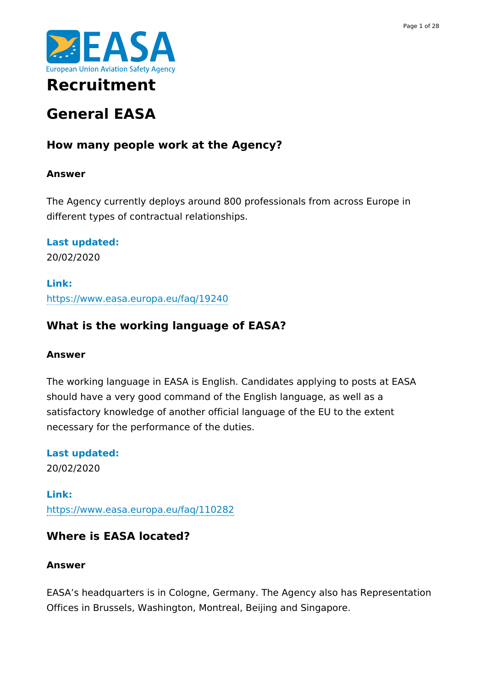

## **Recruitment**

# **General EASA**

## **How many people work at the Agency?**

## **Answer**

The Agency currently deploys around 800 professionals from across Europe in different types of contractual relationships.

**Last updated:** 20/02/2020

**Link:** <https://www.easa.europa.eu/faq/19240>

## **What is the working language of EASA?**

### **Answer**

The working language in EASA is English. Candidates applying to posts at EASA should have a very good command of the English language, as well as a satisfactory knowledge of another official language of the EU to the extent necessary for the performance of the duties.

**Last updated:** 20/02/2020

**Link:** <https://www.easa.europa.eu/faq/110282>

## **Where is EASA located?**

## **Answer**

EASA's headquarters is in Cologne, Germany. The Agency also has Representation Offices in Brussels, Washington, Montreal, Beijing and Singapore.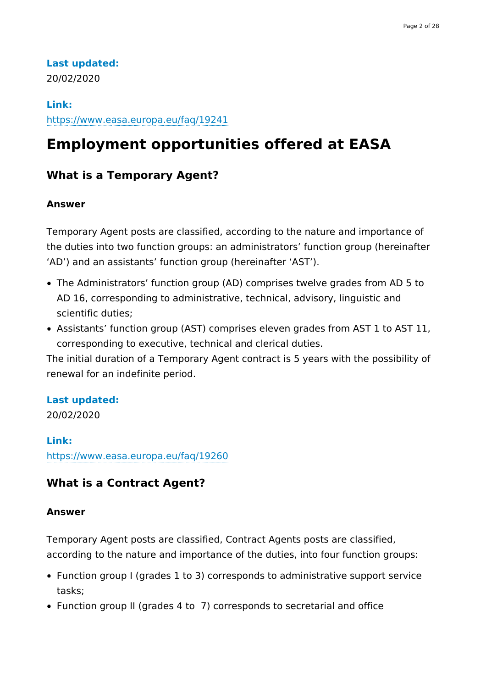## **Last updated:**

20/02/2020

#### **Link:**

<https://www.easa.europa.eu/faq/19241>

## **Employment opportunities offered at EASA**

## **What is a Temporary Agent?**

#### **Answer**

Temporary Agent posts are classified, according to the nature and importance of the duties into two function groups: an administrators' function group (hereinafter 'AD') and an assistants' function group (hereinafter 'AST').

- The Administrators' function group (AD) comprises twelve grades from AD 5 to AD 16, corresponding to administrative, technical, advisory, linguistic and scientific duties;
- Assistants' function group (AST) comprises eleven grades from AST 1 to AST 11, corresponding to executive, technical and clerical duties.

The initial duration of a Temporary Agent contract is 5 years with the possibility of renewal for an indefinite period.

#### **Last updated:**

20/02/2020

#### **Link:**

<https://www.easa.europa.eu/faq/19260>

### **What is a Contract Agent?**

#### **Answer**

Temporary Agent posts are classified, Contract Agents posts are classified, according to the nature and importance of the duties, into four function groups:

- Function group I (grades 1 to 3) corresponds to administrative support service tasks;
- Function group II (grades 4 to 7) corresponds to secretarial and office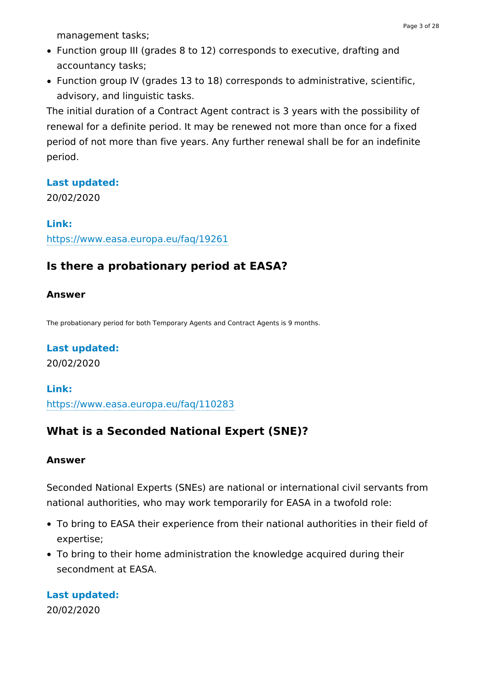management tasks;

- Function group III (grades 8 to 12) corresponds to executive, drafting and accountancy tasks;
- Function group IV (grades 13 to 18) corresponds to administrative, scientific, advisory, and linguistic tasks.

The initial duration of a Contract Agent contract is 3 years with the possibility of renewal for a definite period. It may be renewed not more than once for a fixed period of not more than five years. Any further renewal shall be for an indefinite period.

#### **Last updated:**

20/02/2020

**Link:** <https://www.easa.europa.eu/faq/19261>

## **Is there a probationary period at EASA?**

#### **Answer**

The probationary period for both Temporary Agents and Contract Agents is 9 months.

#### **Last updated:**

20/02/2020

#### **Link:**

<https://www.easa.europa.eu/faq/110283>

## **What is a Seconded National Expert (SNE)?**

#### **Answer**

Seconded National Experts (SNEs) are national or international civil servants from national authorities, who may work temporarily for EASA in a twofold role:

- To bring to EASA their experience from their national authorities in their field of expertise;
- To bring to their home administration the knowledge acquired during their secondment at EASA.

**Last updated:** 20/02/2020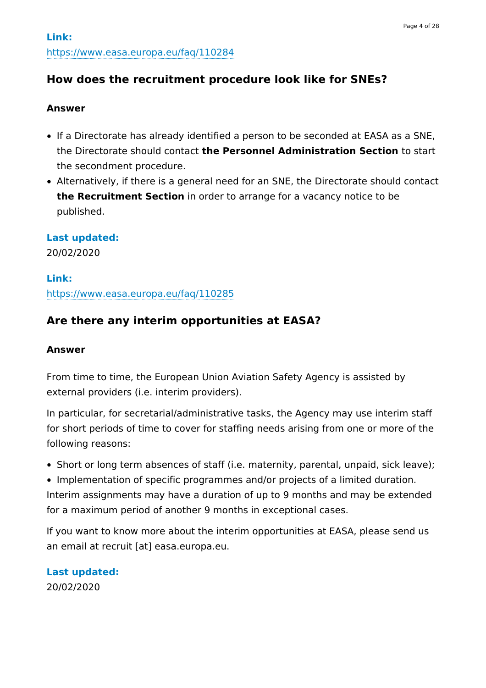## **How does the recruitment procedure look like for SNEs?**

#### **Answer**

- If a Directorate has already identified a person to be seconded at EASA as a SNE, the Directorate should contact **the Personnel Administration Section** to start the secondment procedure.
- Alternatively, if there is a general need for an SNE, the Directorate should contact **the Recruitment Section** in order to arrange for a vacancy notice to be published.

#### **Last updated:**

20/02/2020

#### **Link:**

<https://www.easa.europa.eu/faq/110285>

## **Are there any interim opportunities at EASA?**

#### **Answer**

From time to time, the European Union Aviation Safety Agency is assisted by external providers (i.e. interim providers).

In particular, for secretarial/administrative tasks, the Agency may use interim staff for short periods of time to cover for staffing needs arising from one or more of the following reasons:

Short or long term absences of staff (i.e. maternity, parental, unpaid, sick leave);

Implementation of specific programmes and/or projects of a limited duration. Interim assignments may have a duration of up to 9 months and may be extended for a maximum period of another 9 months in exceptional cases.

If you want to know more about the interim opportunities at EASA, please send us an email at recruit [at] easa.europa.eu.

**Last updated:** 20/02/2020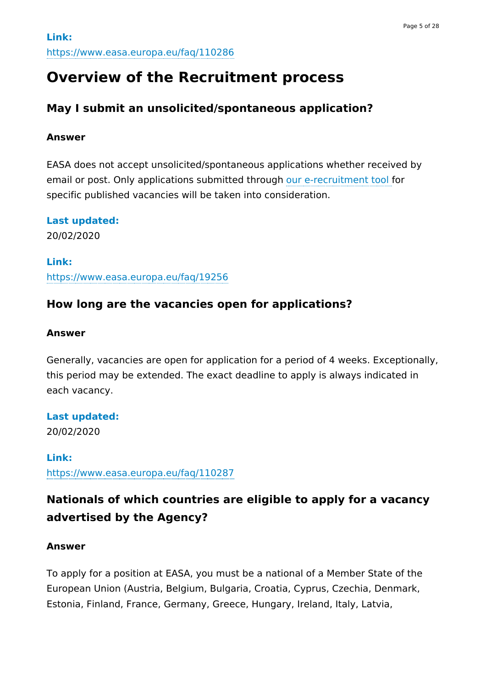## **Overview of the Recruitment process**

## **May I submit an unsolicited/spontaneous application?**

#### **Answer**

EASA does not accept unsolicited/spontaneous applications whether received by email or post. Only applications submitted through our [e-recruitment](https://erecruitment.easa.europa.eu/Home) tool for specific published vacancies will be taken into consideration.

**Last updated:**

20/02/2020

**Link:** <https://www.easa.europa.eu/faq/19256>

## **How long are the vacancies open for applications?**

#### **Answer**

Generally, vacancies are open for application for a period of 4 weeks. Exceptionally, this period may be extended. The exact deadline to apply is always indicated in each vacancy.

**Last updated:**

20/02/2020

**Link:** <https://www.easa.europa.eu/faq/110287>

## **Nationals of which countries are eligible to apply for a vacancy advertised by the Agency?**

#### **Answer**

To apply for a position at EASA, you must be a national of a Member State of the European Union (Austria, Belgium, Bulgaria, Croatia, Cyprus, Czechia, Denmark, Estonia, Finland, France, Germany, Greece, Hungary, Ireland, Italy, Latvia,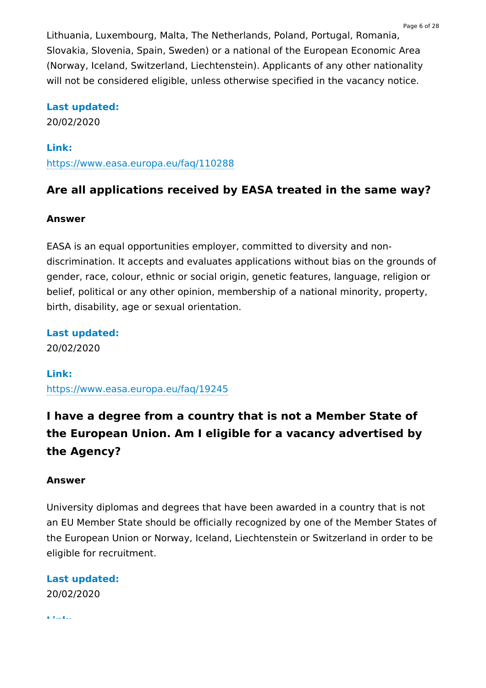Lithuania, Luxembourg, Malta, The Netherlands, Poland, Portugal, Romania, Slovakia, Slovenia, Spain, Sweden) or a national of the European Economic Area (Norway, Iceland, Switzerland, Liechtenstein). Applicants of any other nationality will not be considered eligible, unless otherwise specified in the vacancy notice.

#### **Last updated:**

20/02/2020

#### **Link:**

<https://www.easa.europa.eu/faq/110288>

### **Are all applications received by EASA treated in the same way?**

#### **Answer**

EASA is an equal opportunities employer, committed to diversity and nondiscrimination. It accepts and evaluates applications without bias on the grounds of gender, race, colour, ethnic or social origin, genetic features, language, religion or belief, political or any other opinion, membership of a national minority, property, birth, disability, age or sexual orientation.

**Last updated:**

20/02/2020

#### **Link:**

<https://www.easa.europa.eu/faq/19245>

## **I have a degree from a country that is not a Member State of the European Union. Am I eligible for a vacancy advertised by the Agency?**

#### **Answer**

University diplomas and degrees that have been awarded in a country that is not an EU Member State should be officially recognized by one of the Member States of the European Union or Norway, Iceland, Liechtenstein or Switzerland in order to be eligible for recruitment.

### **Last updated:** 20/02/2020

**Link:**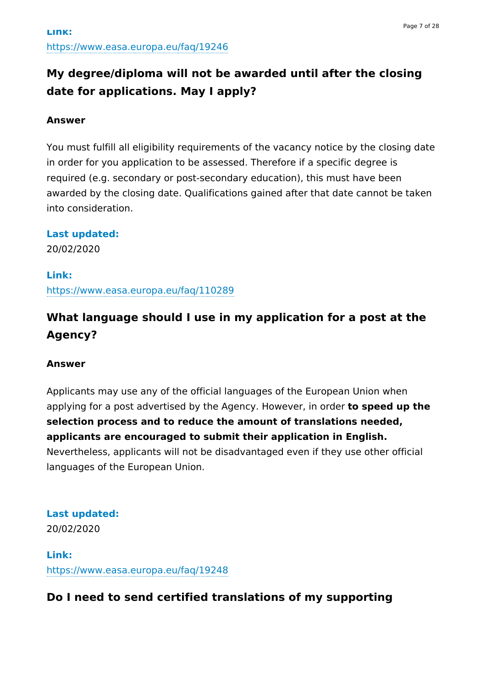## **My degree/diploma will not be awarded until after the closing date for applications. May I apply?**

#### **Answer**

You must fulfill all eligibility requirements of the vacancy notice by the closing date in order for you application to be assessed. Therefore if a specific degree is required (e.g. secondary or post-secondary education), this must have been awarded by the closing date. Qualifications gained after that date cannot be taken into consideration.

#### **Last updated:**

20/02/2020

#### **Link:**

<https://www.easa.europa.eu/faq/110289>

## **What language should I use in my application for a post at the Agency?**

#### **Answer**

Applicants may use any of the official languages of the European Union when applying for a post advertised by the Agency. However, in order **to speed up the selection process and to reduce the amount of translations needed, applicants are encouraged to submit their application in English.** Nevertheless, applicants will not be disadvantaged even if they use other official languages of the European Union.

**Last updated:** 20/02/2020

**Link:** <https://www.easa.europa.eu/faq/19248>

## **Do I need to send certified translations of my supporting**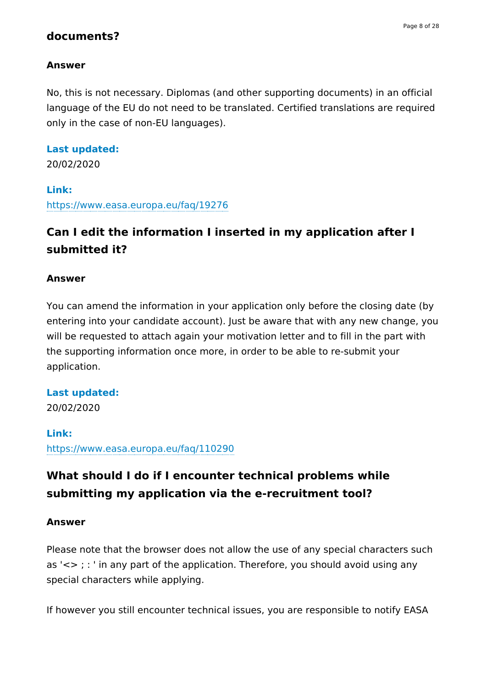## **documents?**

### **Answer**

No, this is not necessary. Diplomas (and other supporting documents) in an official language of the EU do not need to be translated. Certified translations are required only in the case of non-EU languages).

#### **Last updated:**

20/02/2020

#### **Link:**

<https://www.easa.europa.eu/faq/19276>

## **Can I edit the information I inserted in my application after I submitted it?**

#### **Answer**

You can amend the information in your application only before the closing date (by entering into your candidate account). Just be aware that with any new change, you will be requested to attach again your motivation letter and to fill in the part with the supporting information once more, in order to be able to re-submit your application.

#### **Last updated:**

20/02/2020

#### **Link:**

<https://www.easa.europa.eu/faq/110290>

## **What should I do if I encounter technical problems while submitting my application via the e-recruitment tool?**

#### **Answer**

Please note that the browser does not allow the use of any special characters such as  $\le$  ; : ' in any part of the application. Therefore, you should avoid using any special characters while applying.

If however you still encounter technical issues, you are responsible to notify EASA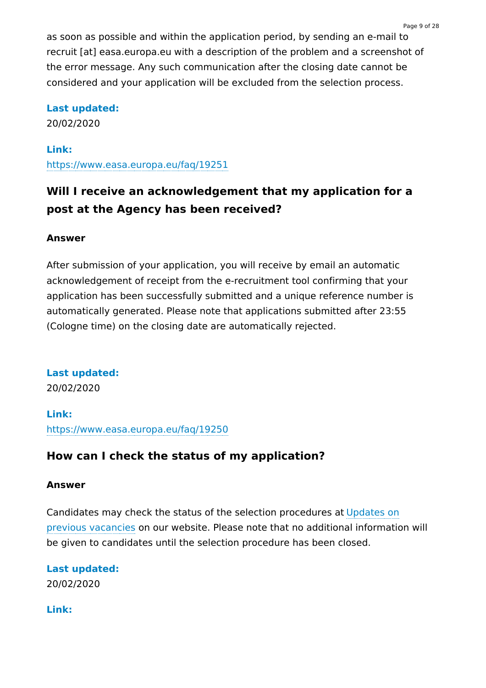as soon as possible and within the application period, by sending an e-mail to recruit [at] easa.europa.eu with a description of the problem and a screenshot of the error message. Any such communication after the closing date cannot be considered and your application will be excluded from the selection process.

## **Last updated:**

20/02/2020

**Link:**

<https://www.easa.europa.eu/faq/19251>

## **Will I receive an acknowledgement that my application for a post at the Agency has been received?**

## **Answer**

After submission of your application, you will receive by email an automatic acknowledgement of receipt from the e-recruitment tool confirming that your application has been successfully submitted and a unique reference number is automatically generated. Please note that applications submitted after 23:55 (Cologne time) on the closing date are automatically rejected.

**Last updated:** 20/02/2020

**Link:** <https://www.easa.europa.eu/faq/19250>

## **How can I check the status of my application?**

## **Answer**

Candidates may check the status of the selection [procedures](https://www.easa.europa.eu/download/recruitment/EASA-Recruitment-Update_on_previous_vacancies.pdf) at Updates on previous vacancies on our website. Please note that no additional information will be given to candidates until the selection procedure has been closed.

**Last updated:** 20/02/2020

**Link:**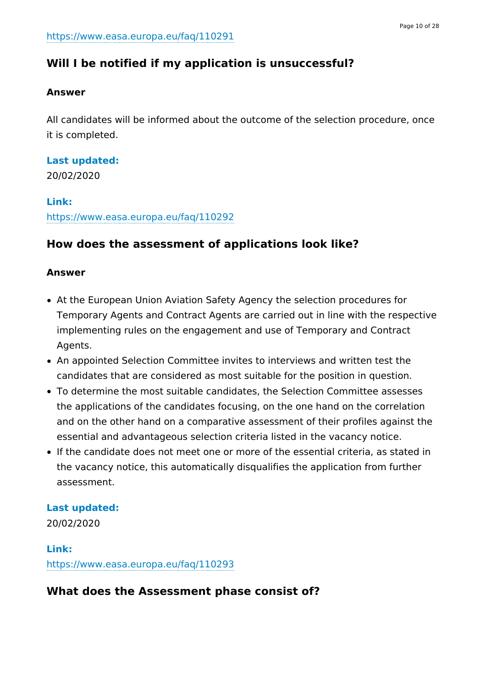## **Will I be notified if my application is unsuccessful?**

## **Answer**

All candidates will be informed about the outcome of the selection procedure, once it is completed.

### **Last updated:**

20/02/2020

### **Link:**

<https://www.easa.europa.eu/faq/110292>

## **How does the assessment of applications look like?**

### **Answer**

- At the European Union Aviation Safety Agency the selection procedures for Temporary Agents and Contract Agents are carried out in line with the respective implementing rules on the engagement and use of Temporary and Contract Agents.
- An appointed Selection Committee invites to interviews and written test the candidates that are considered as most suitable for the position in question.
- To determine the most suitable candidates, the Selection Committee assesses the applications of the candidates focusing, on the one hand on the correlation and on the other hand on a comparative assessment of their profiles against the essential and advantageous selection criteria listed in the vacancy notice.
- If the candidate does not meet one or more of the essential criteria, as stated in the vacancy notice, this automatically disqualifies the application from further assessment.

### **Last updated:**

20/02/2020

## **Link:** <https://www.easa.europa.eu/faq/110293>

## **What does the Assessment phase consist of?**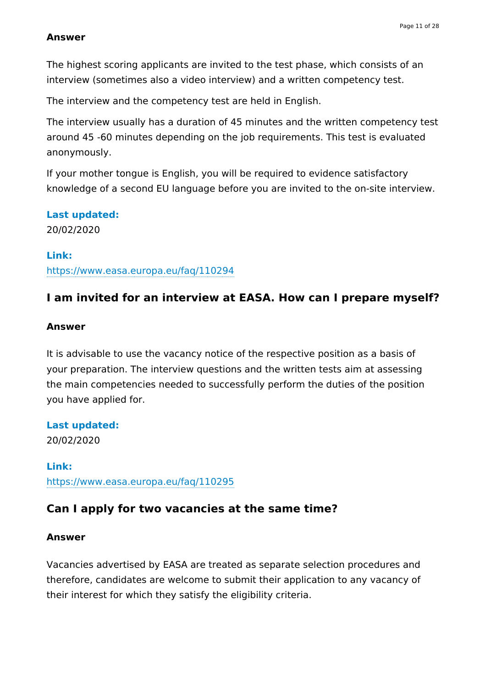#### **Answer**

The highest scoring applicants are invited to the test phase, which consists of an interview (sometimes also a video interview) and a written competency test.

The interview and the competency test are held in English.

The interview usually has a duration of 45 minutes and the written competency test around 45 -60 minutes depending on the job requirements. This test is evaluated anonymously.

If your mother tongue is English, you will be required to evidence satisfactory knowledge of a second EU language before you are invited to the on-site interview.

#### **Last updated:**

20/02/2020

#### **Link:**

<https://www.easa.europa.eu/faq/110294>

### **I am invited for an interview at EASA. How can I prepare myself?**

#### **Answer**

It is advisable to use the vacancy notice of the respective position as a basis of your preparation. The interview questions and the written tests aim at assessing the main competencies needed to successfully perform the duties of the position you have applied for.

**Last updated:**

20/02/2020

## **Link:** <https://www.easa.europa.eu/faq/110295>

### **Can I apply for two vacancies at the same time?**

#### **Answer**

Vacancies advertised by EASA are treated as separate selection procedures and therefore, candidates are welcome to submit their application to any vacancy of their interest for which they satisfy the eligibility criteria.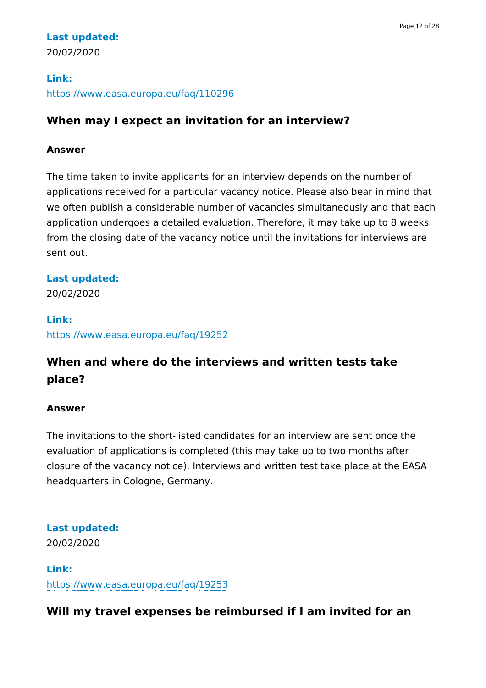## **Last updated:** 20/02/2020

## **Link:** <https://www.easa.europa.eu/faq/110296>

## **When may I expect an invitation for an interview?**

## **Answer**

The time taken to invite applicants for an interview depends on the number of applications received for a particular vacancy notice. Please also bear in mind that we often publish a considerable number of vacancies simultaneously and that each application undergoes a detailed evaluation. Therefore, it may take up to 8 weeks from the closing date of the vacancy notice until the invitations for interviews are sent out.

## **Last updated:**

20/02/2020

## **Link:** <https://www.easa.europa.eu/faq/19252>

## **When and where do the interviews and written tests take place?**

## **Answer**

The invitations to the short-listed candidates for an interview are sent once the evaluation of applications is completed (this may take up to two months after closure of the vacancy notice). Interviews and written test take place at the EASA headquarters in Cologne, Germany.

## **Last updated:**

20/02/2020

**Link:** <https://www.easa.europa.eu/faq/19253>

## **Will my travel expenses be reimbursed if I am invited for an**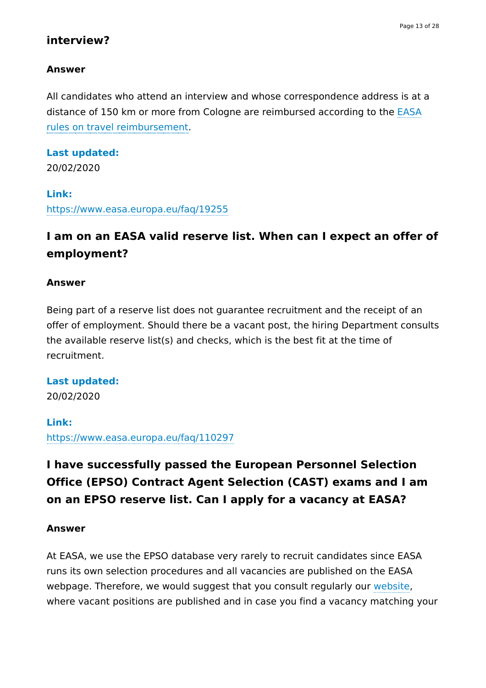## **interview?**

### **Answer**

All candidates who attend an interview and whose correspondence address is at a distance of 150 km or more from Cologne are reimbursed according to the EASA rules on travel [reimbursement.](https://www.easa.europa.eu/sites/default/files/dfu/Reimbursement%20of%20travel%20costs.pdf)

# **Last updated:**

20/02/2020

## **Link:**

<https://www.easa.europa.eu/faq/19255>

## **I am on an EASA valid reserve list. When can I expect an offer of employment?**

#### **Answer**

Being part of a reserve list does not guarantee recruitment and the receipt of an offer of employment. Should there be a vacant post, the hiring Department consults the available reserve list(s) and checks, which is the best fit at the time of recruitment.

### **Last updated:**

20/02/2020

### **Link:**

<https://www.easa.europa.eu/faq/110297>

## **I have successfully passed the European Personnel Selection Office (EPSO) Contract Agent Selection (CAST) exams and I am on an EPSO reserve list. Can I apply for a vacancy at EASA?**

#### **Answer**

At EASA, we use the EPSO database very rarely to recruit candidates since EASA runs its own selection procedures and all vacancies are published on the EASA webpage. Therefore, we would suggest that you consult regularly our [website,](https://www.easa.europa.eu/the-agency/recruitment) where vacant positions are published and in case you find a vacancy matching your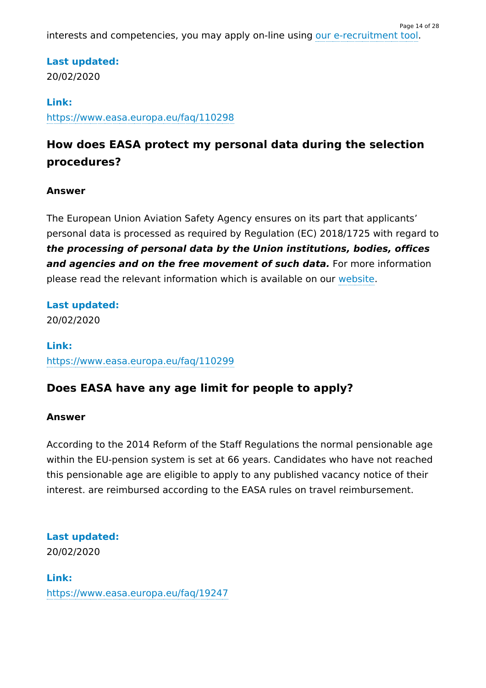interests and competencies, you may apply on-line using our [e-recruitment](https://erecruitment.easa.europa.eu/Home) tool. Page 14 of 28

## **Last updated:**

20/02/2020

### **Link:**

<https://www.easa.europa.eu/faq/110298>

## **How does EASA protect my personal data during the selection procedures?**

## **Answer**

The European Union Aviation Safety Agency ensures on its part that applicants' personal data is processed as required by Regulation (EC) 2018/1725 with regard to **the processing of personal data by the Union institutions, bodies, offices and agencies and on the free movement of such data.** For more information please read the relevant information which is available on our [website](https://www.easa.europa.eu/data-protection).

## **Last updated:**

20/02/2020

**Link:** <https://www.easa.europa.eu/faq/110299>

## **Does EASA have any age limit for people to apply?**

### **Answer**

According to the 2014 Reform of the Staff Regulations the normal pensionable age within the EU-pension system is set at 66 years. Candidates who have not reached this pensionable age are eligible to apply to any published vacancy notice of their interest. are reimbursed according to the EASA rules on travel reimbursement.

### **Last updated:**

20/02/2020

## **Link:** <https://www.easa.europa.eu/faq/19247>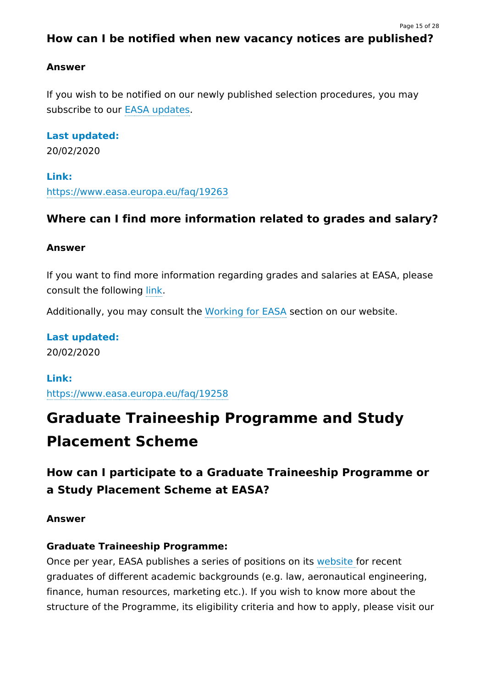Page 15 of 28

## **Answer**

If you wish to be notified on our newly published selection procedures, you may subscribe to our EASA [updates](https://confirmsubscription.com/h/d/09A734863A91348D).

## **Last updated:**

20/02/2020

**Link:** <https://www.easa.europa.eu/faq/19263>

## **Where can I find more information related to grades and salary?**

## **Answer**

If you want to find more information regarding grades and salaries at EASA, please consult the following [link.](https://ec.europa.eu/info/jobs-european-commission_en#4)

Additionally, you may consult the [Working](https://www.easa.europa.eu/download/recruitment/EASA-Working-for-us.pdf) for EASA section on our website.

**Last updated:** 20/02/2020

## **Link:**

<https://www.easa.europa.eu/faq/19258>

# **Graduate Traineeship Programme and Study Placement Scheme**

## **How can I participate to a Graduate Traineeship Programme or a Study Placement Scheme at EASA?**

## **Answer**

## **Graduate Traineeship Programme:**

Once per year, EASA publishes a series of positions on its [website](https://www.easa.europa.eu/the-agency/recruitment) for recent graduates of different academic backgrounds (e.g. law, aeronautical engineering, finance, human resources, marketing etc.). If you wish to know more about the structure of the Programme, its eligibility criteria and how to apply, please visit our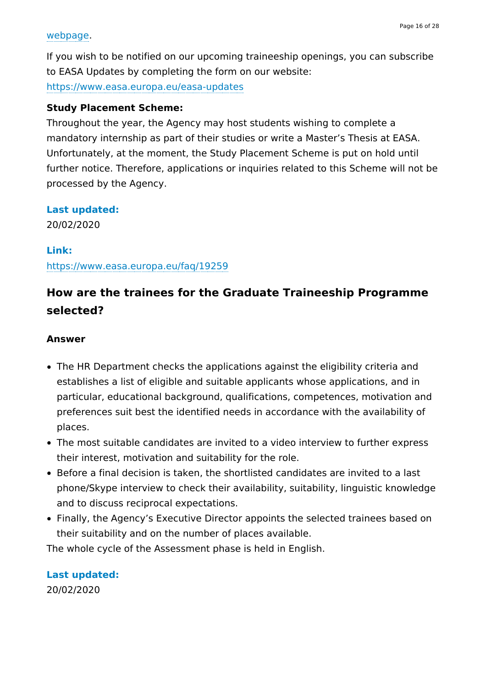#### [webpage](https://www.easa.europa.eu/the-agency/careers-working-for-us/traineeships-and-study-placements).

If you wish to be notified on our upcoming traineeship openings, you can subscribe to EASA Updates by completing the form on our website:

<https://www.easa.europa.eu/easa-updates>

#### **Study Placement Scheme:**

Throughout the year, the Agency may host students wishing to complete a mandatory internship as part of their studies or write a Master's Thesis at EASA. Unfortunately, at the moment, the Study Placement Scheme is put on hold until further notice. Therefore, applications or inquiries related to this Scheme will not be processed by the Agency.

#### **Last updated:**

20/02/2020

#### **Link:**

<https://www.easa.europa.eu/faq/19259>

## **How are the trainees for the Graduate Traineeship Programme selected?**

#### **Answer**

- The HR Department checks the applications against the eligibility criteria and establishes a list of eligible and suitable applicants whose applications, and in particular, educational background, qualifications, competences, motivation and preferences suit best the identified needs in accordance with the availability of places.
- The most suitable candidates are invited to a video interview to further express their interest, motivation and suitability for the role.
- Before a final decision is taken, the shortlisted candidates are invited to a last phone/Skype interview to check their availability, suitability, linguistic knowledge and to discuss reciprocal expectations.
- Finally, the Agency's Executive Director appoints the selected trainees based on their suitability and on the number of places available.

The whole cycle of the Assessment phase is held in English.

**Last updated:** 20/02/2020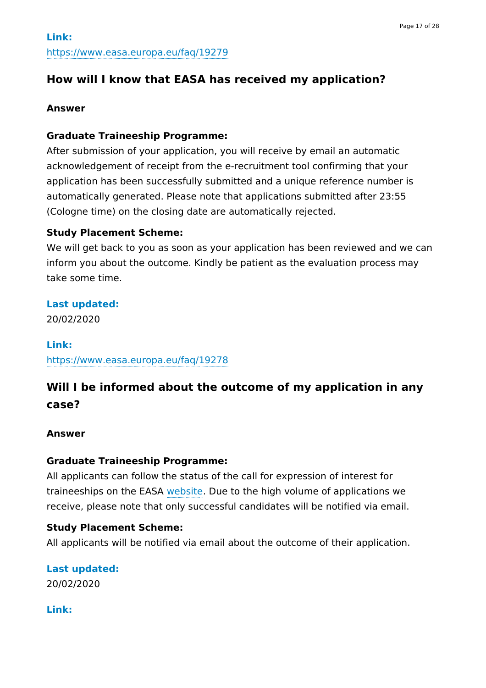## **How will I know that EASA has received my application?**

#### **Answer**

### **Graduate Traineeship Programme:**

After submission of your application, you will receive by email an automatic acknowledgement of receipt from the e-recruitment tool confirming that your application has been successfully submitted and a unique reference number is automatically generated. Please note that applications submitted after 23:55 (Cologne time) on the closing date are automatically rejected.

### **Study Placement Scheme:**

We will get back to you as soon as your application has been reviewed and we can inform you about the outcome. Kindly be patient as the evaluation process may take some time.

## **Last updated:**

20/02/2020

**Link:**

<https://www.easa.europa.eu/faq/19278>

## **Will I be informed about the outcome of my application in any case?**

### **Answer**

### **Graduate Traineeship Programme:**

All applicants can follow the status of the call for expression of interest for traineeships on the EASA [website](https://www.easa.europa.eu/download/recruitment/EASA-Recruitment-Update_on_previous_vacancies.pdf). Due to the high volume of applications we receive, please note that only successful candidates will be notified via email.

### **Study Placement Scheme:**

All applicants will be notified via email about the outcome of their application.

**Last updated:** 20/02/2020

**Link:**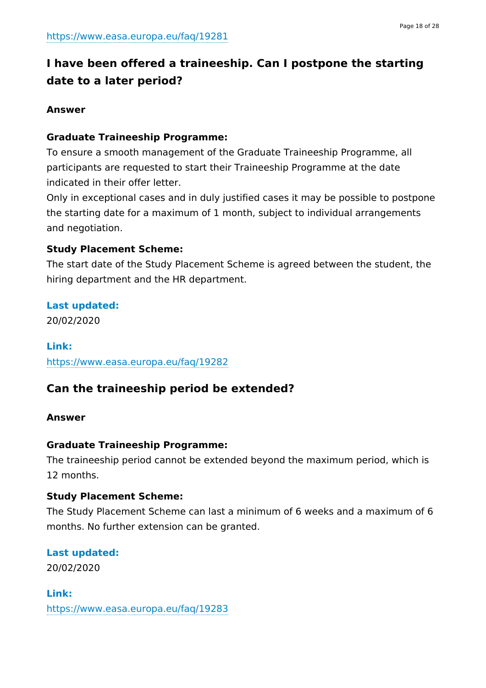## **I have been offered a traineeship. Can I postpone the starting date to a later period?**

### **Answer**

### **Graduate Traineeship Programme:**

To ensure a smooth management of the Graduate Traineeship Programme, all participants are requested to start their Traineeship Programme at the date indicated in their offer letter.

Only in exceptional cases and in duly justified cases it may be possible to postpone the starting date for a maximum of 1 month, subject to individual arrangements and negotiation.

### **Study Placement Scheme:**

The start date of the Study Placement Scheme is agreed between the student, the hiring department and the HR department.

### **Last updated:**

20/02/2020

**Link:** <https://www.easa.europa.eu/faq/19282>

## **Can the traineeship period be extended?**

### **Answer**

### **Graduate Traineeship Programme:**

The traineeship period cannot be extended beyond the maximum period, which is 12 months.

### **Study Placement Scheme:**

The Study Placement Scheme can last a minimum of 6 weeks and a maximum of 6 months. No further extension can be granted.

### **Last updated:**

20/02/2020

**Link:** <https://www.easa.europa.eu/faq/19283>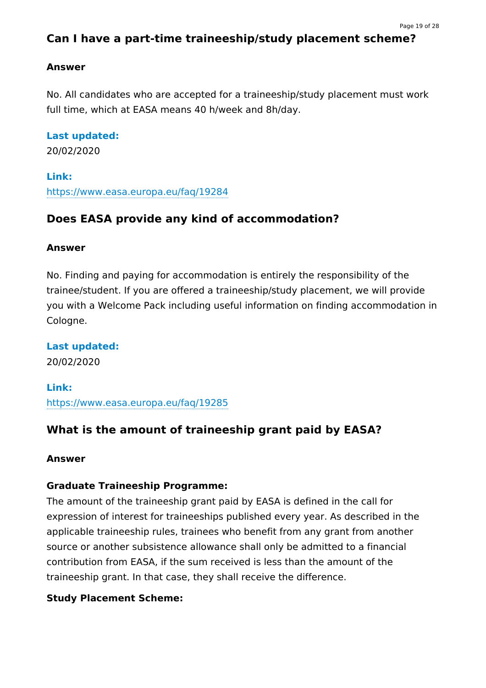## **Can I have a part-time traineeship/study placement scheme?**

#### **Answer**

No. All candidates who are accepted for a traineeship/study placement must work full time, which at EASA means 40 h/week and 8h/day.

### **Last updated:**

20/02/2020

#### **Link:**

<https://www.easa.europa.eu/faq/19284>

## **Does EASA provide any kind of accommodation?**

#### **Answer**

No. Finding and paying for accommodation is entirely the responsibility of the trainee/student. If you are offered a traineeship/study placement, we will provide you with a Welcome Pack including useful information on finding accommodation in Cologne.

**Last updated:** 20/02/2020

**Link:** <https://www.easa.europa.eu/faq/19285>

## **What is the amount of traineeship grant paid by EASA?**

#### **Answer**

### **Graduate Traineeship Programme:**

The amount of the traineeship grant paid by EASA is defined in the call for expression of interest for traineeships published every year. As described in the applicable traineeship rules, trainees who benefit from any grant from another source or another subsistence allowance shall only be admitted to a financial contribution from EASA, if the sum received is less than the amount of the traineeship grant. In that case, they shall receive the difference.

### **Study Placement Scheme:**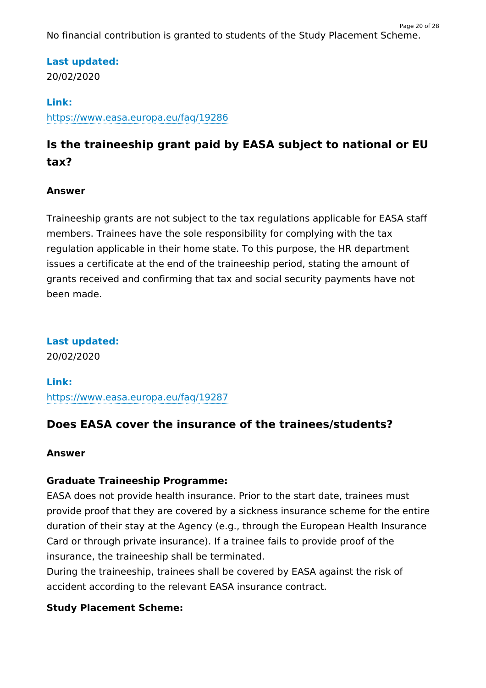No financial contribution is granted to students of the Study Placement Scheme.

Page 20 of 28

## **Last updated:**

20/02/2020

## **Link:**

<https://www.easa.europa.eu/faq/19286>

## **Is the traineeship grant paid by EASA subject to national or EU tax?**

## **Answer**

Traineeship grants are not subject to the tax regulations applicable for EASA staff members. Trainees have the sole responsibility for complying with the tax regulation applicable in their home state. To this purpose, the HR department issues a certificate at the end of the traineeship period, stating the amount of grants received and confirming that tax and social security payments have not been made.

**Last updated:** 20/02/2020

**Link:** <https://www.easa.europa.eu/faq/19287>

## **Does EASA cover the insurance of the trainees/students?**

### **Answer**

## **Graduate Traineeship Programme:**

EASA does not provide health insurance. Prior to the start date, trainees must provide proof that they are covered by a sickness insurance scheme for the entire duration of their stay at the Agency (e.g., through the European Health Insurance Card or through private insurance). If a trainee fails to provide proof of the insurance, the traineeship shall be terminated.

During the traineeship, trainees shall be covered by EASA against the risk of accident according to the relevant EASA insurance contract.

## **Study Placement Scheme:**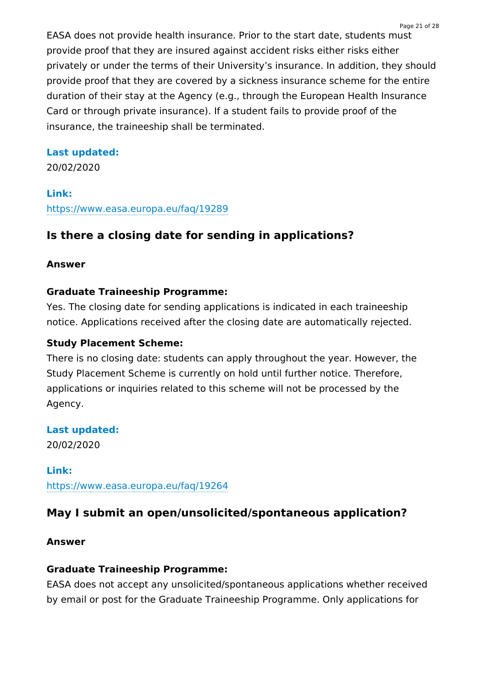EASA does not provide health insurance. Prior to the start date, students must provide proof that they are insured against accident risks either risks either privately or under the terms of their University's insurance. In addition, they should provide proof that they are covered by a sickness insurance scheme for the entire duration of their stay at the Agency (e.g., through the European Health Insurance Card or through private insurance). If a student fails to provide proof of the insurance, the traineeship shall be terminated.

## **Last updated:**

20/02/2020

## **Link:** <https://www.easa.europa.eu/faq/19289>

## **Is there a closing date for sending in applications?**

## **Answer**

## **Graduate Traineeship Programme:**

Yes. The closing date for sending applications is indicated in each traineeship notice. Applications received after the closing date are automatically rejected.

## **Study Placement Scheme:**

There is no closing date: students can apply throughout the year. However, the Study Placement Scheme is currently on hold until further notice. Therefore, applications or inquiries related to this scheme will not be processed by the Agency.

## **Last updated:**

20/02/2020

## **Link:**

<https://www.easa.europa.eu/faq/19264>

## **May I submit an open/unsolicited/spontaneous application?**

## **Answer**

## **Graduate Traineeship Programme:**

EASA does not accept any unsolicited/spontaneous applications whether received by email or post for the Graduate Traineeship Programme. Only applications for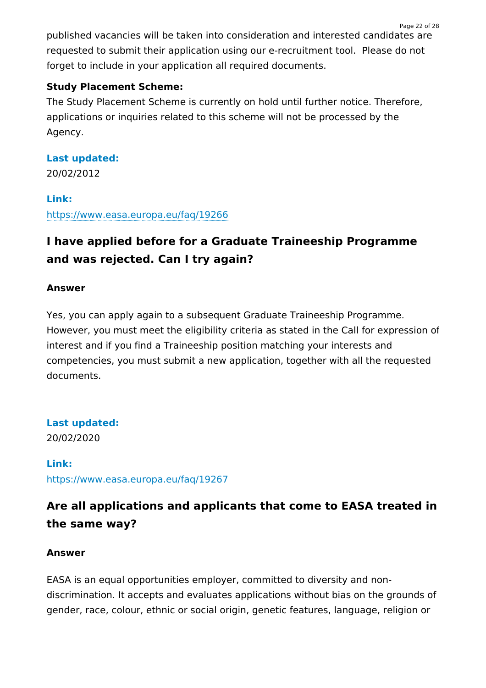published vacancies will be taken into consideration and interested candidates are requested to submit their application using our e-recruitment tool. Please do not forget to include in your application all required documents.

Page 22 of 28

## **Study Placement Scheme:**

The Study Placement Scheme is currently on hold until further notice. Therefore, applications or inquiries related to this scheme will not be processed by the Agency.

# **Last updated:**

20/02/2012

## **Link:**

<https://www.easa.europa.eu/faq/19266>

## **I have applied before for a Graduate Traineeship Programme and was rejected. Can I try again?**

## **Answer**

Yes, you can apply again to a subsequent Graduate Traineeship Programme. However, you must meet the eligibility criteria as stated in the Call for expression of interest and if you find a Traineeship position matching your interests and competencies, you must submit a new application, together with all the requested documents.

## **Last updated:** 20/02/2020

**Link:** <https://www.easa.europa.eu/faq/19267>

## **Are all applications and applicants that come to EASA treated in the same way?**

### **Answer**

EASA is an equal opportunities employer, committed to diversity and nondiscrimination. It accepts and evaluates applications without bias on the grounds of gender, race, colour, ethnic or social origin, genetic features, language, religion or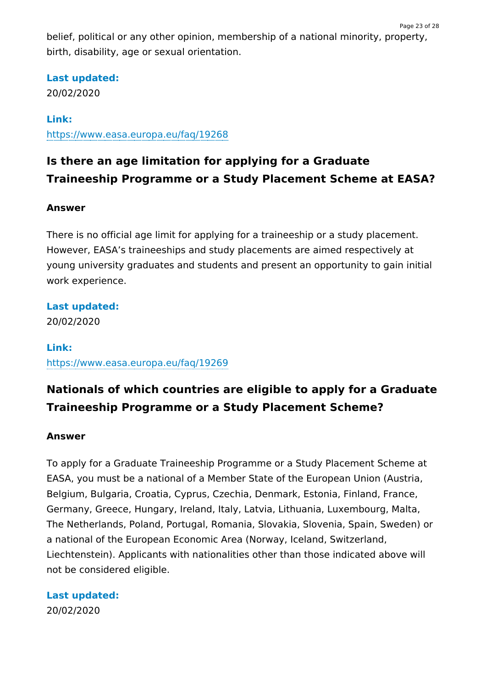belief, political or any other opinion, membership of a national minority, property, birth, disability, age or sexual orientation.

#### **Last updated:**

20/02/2020

## **Link:**

<https://www.easa.europa.eu/faq/19268>

## **Is there an age limitation for applying for a Graduate Traineeship Programme or a Study Placement Scheme at EASA?**

### **Answer**

There is no official age limit for applying for a traineeship or a study placement. However, EASA's traineeships and study placements are aimed respectively at young university graduates and students and present an opportunity to gain initial work experience.

## **Last updated:**

20/02/2020

## **Link:** <https://www.easa.europa.eu/faq/19269>

## **Nationals of which countries are eligible to apply for a Graduate Traineeship Programme or a Study Placement Scheme?**

### **Answer**

To apply for a Graduate Traineeship Programme or a Study Placement Scheme at EASA, you must be a national of a Member State of the European Union (Austria, Belgium, Bulgaria, Croatia, Cyprus, Czechia, Denmark, Estonia, Finland, France, Germany, Greece, Hungary, Ireland, Italy, Latvia, Lithuania, Luxembourg, Malta, The Netherlands, Poland, Portugal, Romania, Slovakia, Slovenia, Spain, Sweden) or a national of the European Economic Area (Norway, Iceland, Switzerland, Liechtenstein). Applicants with nationalities other than those indicated above will not be considered eligible.

**Last updated:** 20/02/2020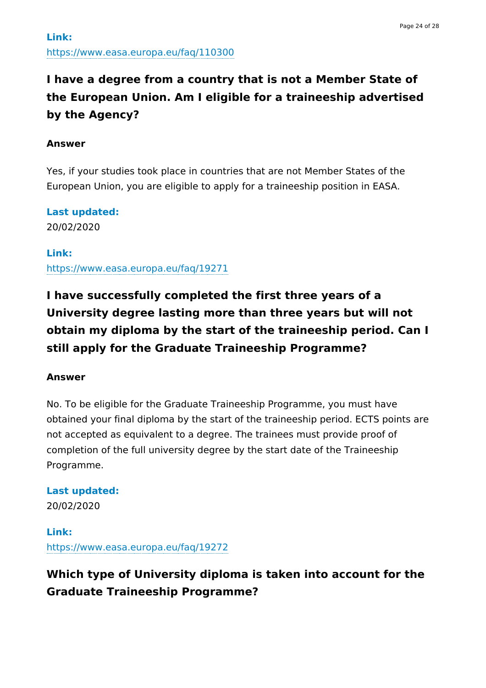## **I have a degree from a country that is not a Member State of the European Union. Am I eligible for a traineeship advertised by the Agency?**

#### **Answer**

Yes, if your studies took place in countries that are not Member States of the European Union, you are eligible to apply for a traineeship position in EASA.

**Last updated:** 20/02/2020

**Link:** <https://www.easa.europa.eu/faq/19271>

**I have successfully completed the first three years of a University degree lasting more than three years but will not obtain my diploma by the start of the traineeship period. Can I still apply for the Graduate Traineeship Programme?**

#### **Answer**

No. To be eligible for the Graduate Traineeship Programme, you must have obtained your final diploma by the start of the traineeship period. ECTS points are not accepted as equivalent to a degree. The trainees must provide proof of completion of the full university degree by the start date of the Traineeship Programme.

**Last updated:** 20/02/2020

**Link:** <https://www.easa.europa.eu/faq/19272>

## **Which type of University diploma is taken into account for the Graduate Traineeship Programme?**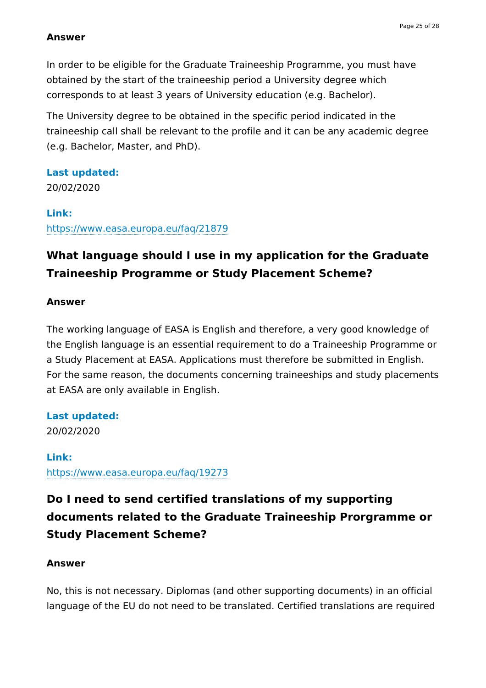#### **Answer**

In order to be eligible for the Graduate Traineeship Programme, you must have obtained by the start of the traineeship period a University degree which corresponds to at least 3 years of University education (e.g. Bachelor).

The University degree to be obtained in the specific period indicated in the traineeship call shall be relevant to the profile and it can be any academic degree (e.g. Bachelor, Master, and PhD).

**Last updated:**

20/02/2020

#### **Link:**

<https://www.easa.europa.eu/faq/21879>

## **What language should I use in my application for the Graduate Traineeship Programme or Study Placement Scheme?**

#### **Answer**

The working language of EASA is English and therefore, a very good knowledge of the English language is an essential requirement to do a Traineeship Programme or a Study Placement at EASA. Applications must therefore be submitted in English. For the same reason, the documents concerning traineeships and study placements at EASA are only available in English.

**Last updated:**

20/02/2020

**Link:** <https://www.easa.europa.eu/faq/19273>

## **Do I need to send certified translations of my supporting documents related to the Graduate Traineeship Prorgramme or Study Placement Scheme?**

#### **Answer**

No, this is not necessary. Diplomas (and other supporting documents) in an official language of the EU do not need to be translated. Certified translations are required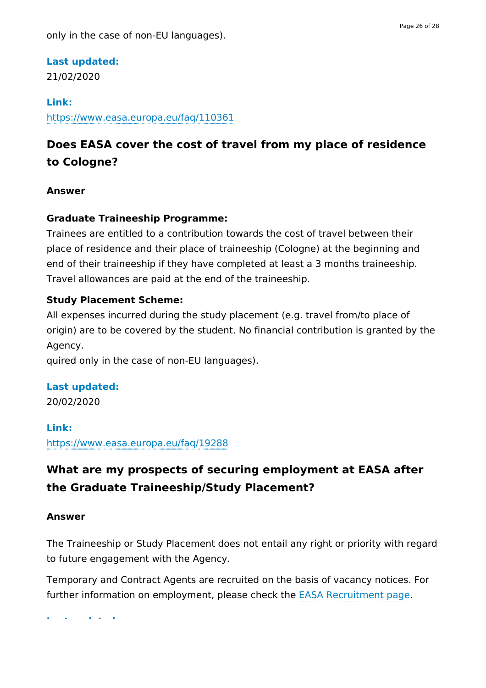### **Last updated:**

21/02/2020

### **Link:**

<https://www.easa.europa.eu/faq/110361>

## **Does EASA cover the cost of travel from my place of residence to Cologne?**

### **Answer**

## **Graduate Traineeship Programme:**

Trainees are entitled to a contribution towards the cost of travel between their place of residence and their place of traineeship (Cologne) at the beginning and end of their traineeship if they have completed at least a 3 months traineeship. Travel allowances are paid at the end of the traineeship.

## **Study Placement Scheme:**

All expenses incurred during the study placement (e.g. travel from/to place of origin) are to be covered by the student. No financial contribution is granted by the Agency.

quired only in the case of non-EU languages).

### **Last updated:**

20/02/2020

**Link:** <https://www.easa.europa.eu/faq/19288>

## **What are my prospects of securing employment at EASA after the Graduate Traineeship/Study Placement?**

### **Answer**

The Traineeship or Study Placement does not entail any right or priority with regard to future engagement with the Agency.

Temporary and Contract Agents are recruited on the basis of vacancy notices. For further information on employment, please check the EASA [Recruitment](https://www.easa.europa.eu/the-agency/recruitment) page.

**Last updated:**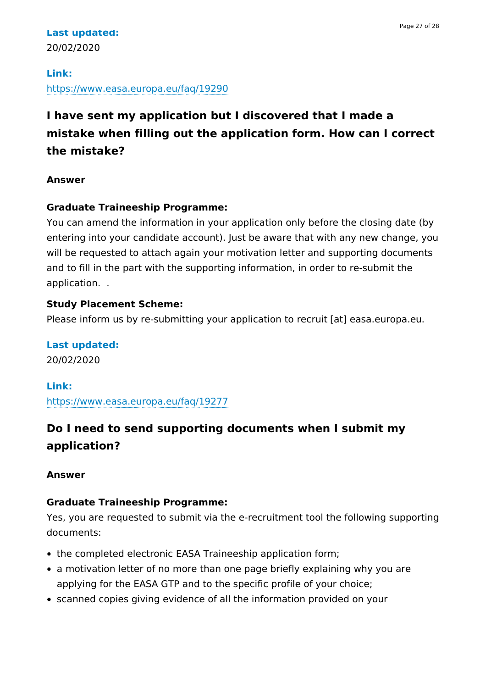## **Last updated:** 20/02/2020

#### **Link:**

<https://www.easa.europa.eu/faq/19290>

## **I have sent my application but I discovered that I made a mistake when filling out the application form. How can I correct the mistake?**

### **Answer**

## **Graduate Traineeship Programme:**

You can amend the information in your application only before the closing date (by entering into your candidate account). Just be aware that with any new change, you will be requested to attach again your motivation letter and supporting documents and to fill in the part with the supporting information, in order to re-submit the application. .

## **Study Placement Scheme:**

Please inform us by re-submitting your application to recruit [at] easa.europa.eu.

**Last updated:** 20/02/2020

**Link:** <https://www.easa.europa.eu/faq/19277>

## **Do I need to send supporting documents when I submit my application?**

### **Answer**

### **Graduate Traineeship Programme:**

Yes, you are requested to submit via the e-recruitment tool the following supporting documents:

- the completed electronic EASA Traineeship application form;
- a motivation letter of no more than one page briefly explaining why you are applying for the EASA GTP and to the specific profile of your choice;
- scanned copies giving evidence of all the information provided on your